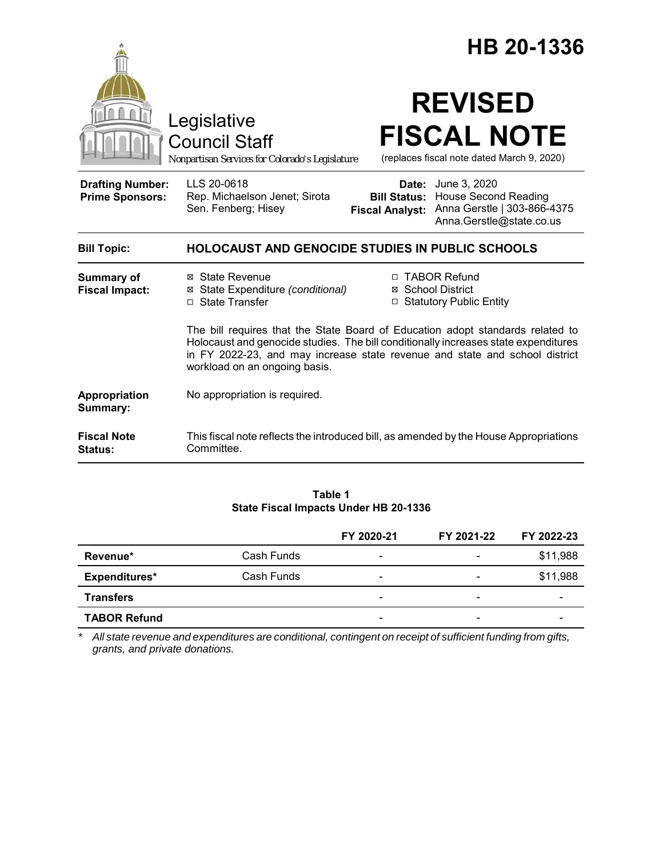|                                                   |                                                                                                                                                                                                                                                                                       |                                                        | HB 20-1336                                                                                             |  |
|---------------------------------------------------|---------------------------------------------------------------------------------------------------------------------------------------------------------------------------------------------------------------------------------------------------------------------------------------|--------------------------------------------------------|--------------------------------------------------------------------------------------------------------|--|
|                                                   | Legislative<br><b>Council Staff</b><br>Nonpartisan Services for Colorado's Legislature                                                                                                                                                                                                |                                                        | <b>REVISED</b><br><b>FISCAL NOTE</b><br>(replaces fiscal note dated March 9, 2020)                     |  |
| <b>Drafting Number:</b><br><b>Prime Sponsors:</b> | LLS 20-0618<br>Rep. Michaelson Jenet; Sirota<br>Sen. Fenberg; Hisey                                                                                                                                                                                                                   | Date:<br><b>Bill Status:</b><br><b>Fiscal Analyst:</b> | June 3, 2020<br><b>House Second Reading</b><br>Anna Gerstle   303-866-4375<br>Anna.Gerstle@state.co.us |  |
| <b>Bill Topic:</b>                                | <b>HOLOCAUST AND GENOCIDE STUDIES IN PUBLIC SCHOOLS</b>                                                                                                                                                                                                                               |                                                        |                                                                                                        |  |
| <b>Summary of</b><br><b>Fiscal Impact:</b>        | ⊠ State Revenue<br>⊠ State Expenditure (conditional)<br>□ State Transfer                                                                                                                                                                                                              |                                                        | □ TABOR Refund<br>⊠ School District<br>□ Statutory Public Entity                                       |  |
|                                                   | The bill requires that the State Board of Education adopt standards related to<br>Holocaust and genocide studies. The bill conditionally increases state expenditures<br>in FY 2022-23, and may increase state revenue and state and school district<br>workload on an ongoing basis. |                                                        |                                                                                                        |  |
| Appropriation<br>Summary:                         | No appropriation is required.                                                                                                                                                                                                                                                         |                                                        |                                                                                                        |  |
| <b>Fiscal Note</b><br>Status:                     | This fiscal note reflects the introduced bill, as amended by the House Appropriations<br>Committee.                                                                                                                                                                                   |                                                        |                                                                                                        |  |

### **Table 1 State Fiscal Impacts Under HB 20-1336**

|                     |            | FY 2020-21               | FY 2021-22               | FY 2022-23 |
|---------------------|------------|--------------------------|--------------------------|------------|
| Revenue*            | Cash Funds | $\overline{\phantom{0}}$ |                          | \$11,988   |
| Expenditures*       | Cash Funds | $\overline{\phantom{a}}$ |                          | \$11,988   |
| <b>Transfers</b>    |            | $\overline{\phantom{0}}$ | -                        |            |
| <b>TABOR Refund</b> |            | $\overline{\phantom{0}}$ | $\overline{\phantom{0}}$ |            |

*\* All state revenue and expenditures are conditional, contingent on receipt of sufficient funding from gifts, grants, and private donations.*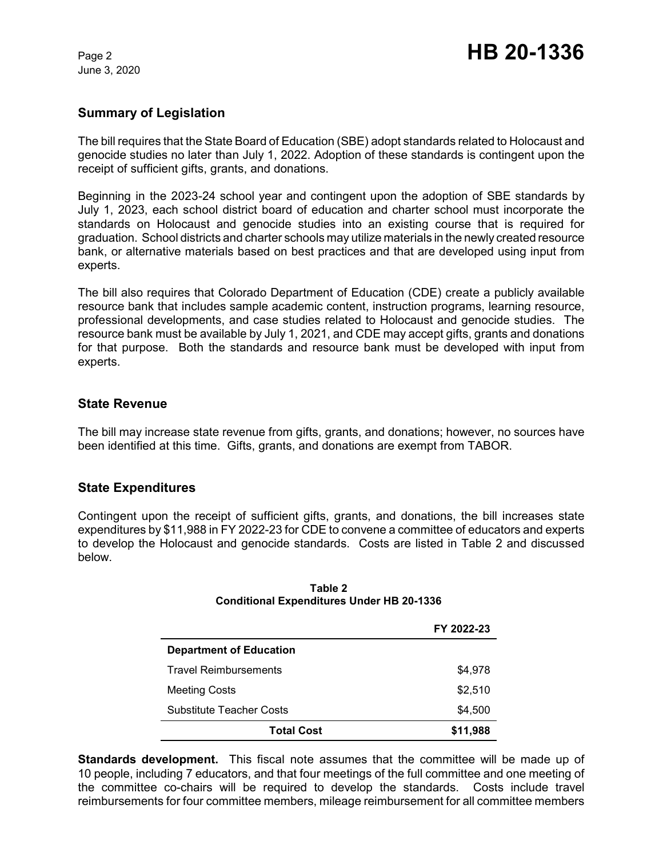June 3, 2020

## **Summary of Legislation**

The bill requires that the State Board of Education (SBE) adopt standards related to Holocaust and genocide studies no later than July 1, 2022. Adoption of these standards is contingent upon the receipt of sufficient gifts, grants, and donations.

Beginning in the 2023-24 school year and contingent upon the adoption of SBE standards by July 1, 2023, each school district board of education and charter school must incorporate the standards on Holocaust and genocide studies into an existing course that is required for graduation. School districts and charter schools may utilize materials in the newly created resource bank, or alternative materials based on best practices and that are developed using input from experts.

The bill also requires that Colorado Department of Education (CDE) create a publicly available resource bank that includes sample academic content, instruction programs, learning resource, professional developments, and case studies related to Holocaust and genocide studies. The resource bank must be available by July 1, 2021, and CDE may accept gifts, grants and donations for that purpose. Both the standards and resource bank must be developed with input from experts.

## **State Revenue**

The bill may increase state revenue from gifts, grants, and donations; however, no sources have been identified at this time. Gifts, grants, and donations are exempt from TABOR.

## **State Expenditures**

Contingent upon the receipt of sufficient gifts, grants, and donations, the bill increases state expenditures by \$11,988 in FY 2022-23 for CDE to convene a committee of educators and experts to develop the Holocaust and genocide standards. Costs are listed in Table 2 and discussed below.

|                                 | FY 2022-23 |
|---------------------------------|------------|
| <b>Department of Education</b>  |            |
| <b>Travel Reimbursements</b>    | \$4,978    |
| <b>Meeting Costs</b>            | \$2,510    |
| <b>Substitute Teacher Costs</b> | \$4,500    |
| <b>Total Cost</b>               | \$11,988   |

#### **Table 2 Conditional Expenditures Under HB 20-1336**

**Standards development.** This fiscal note assumes that the committee will be made up of 10 people, including 7 educators, and that four meetings of the full committee and one meeting of the committee co-chairs will be required to develop the standards. Costs include travel reimbursements for four committee members, mileage reimbursement for all committee members